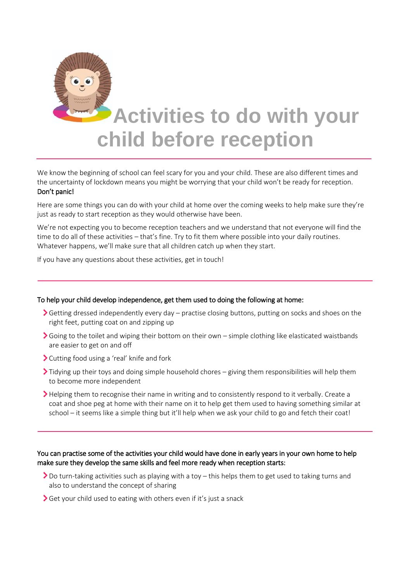

## **Activities to do with your child before reception**

We know the beginning of school can feel scary for you and your child. These are also different times and the uncertainty of lockdown means you might be worrying that your child won't be ready for reception. Don't panic!

Here are some things you can do with your child at home over the coming weeks to help make sure they're just as ready to start reception as they would otherwise have been.

We're not expecting you to become reception teachers and we understand that not everyone will find the time to do all of these activities – that's fine. Try to fit them where possible into your daily routines. Whatever happens, we'll make sure that all children catch up when they start.

If you have any questions about these activities, get in touch!

## To help your child develop independence, get them used to doing the following at home:

- Getting dressed independently every day practise closing buttons, putting on socks and shoes on the right feet, putting coat on and zipping up
- Going to the toilet and wiping their bottom on their own simple clothing like elasticated waistbands are easier to get on and off
- Cutting food using a 'real' knife and fork
- $\sum$  Tidying up their toys and doing simple household chores giving them responsibilities will help them to become more independent
- Helping them to recognise their name in writing and to consistently respond to it verbally. Create a coat and shoe peg at home with their name on it to help get them used to having something similar at school – it seems like a simple thing but it'll help when we ask your child to go and fetch their coat!

## You can practise some of the activities your child would have done in early years in your own home to help make sure they develop the same skills and feel more ready when reception starts:

- ▶ Do turn-taking activities such as playing with a toy this helps them to get used to taking turns and also to understand the concept of sharing
- Get your child used to eating with others even if it's just a snack